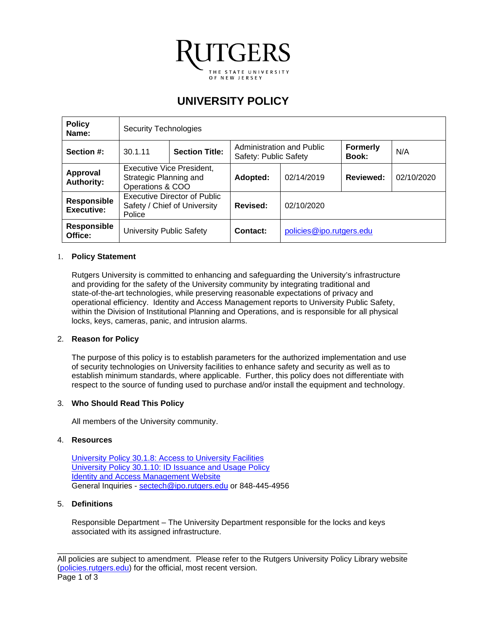

# **UNIVERSITY POLICY**

| <b>Policy</b><br>Name:           | Security Technologies                                                   |  |                                                    |                          |                                 |            |
|----------------------------------|-------------------------------------------------------------------------|--|----------------------------------------------------|--------------------------|---------------------------------|------------|
| Section #:                       | <b>Section Title:</b><br>30.1.11                                        |  | Administration and Public<br>Safety: Public Safety |                          | <b>Formerly</b><br><b>Book:</b> | N/A        |
| Approval<br><b>Authority:</b>    | Executive Vice President,<br>Strategic Planning and<br>Operations & COO |  | Adopted:                                           | 02/14/2019               | Reviewed:                       | 02/10/2020 |
| Responsible<br><b>Executive:</b> | Executive Director of Public<br>Safety / Chief of University<br>Police  |  | Revised:                                           | 02/10/2020               |                                 |            |
| <b>Responsible</b><br>Office:    | <b>University Public Safety</b>                                         |  | Contact:                                           | policies@ipo.rutgers.edu |                                 |            |

## 1. **Policy Statement**

Rutgers University is committed to enhancing and safeguarding the University's infrastructure and providing for the safety of the University community by integrating traditional and state-of-the-art technologies, while preserving reasonable expectations of privacy and operational efficiency. Identity and Access Management reports to University Public Safety, within the Division of Institutional Planning and Operations, and is responsible for all physical locks, keys, cameras, panic, and intrusion alarms.

#### 2. **Reason for Policy**

The purpose of this policy is to establish parameters for the authorized implementation and use of security technologies on University facilities to enhance safety and security as well as to establish minimum standards, where applicable. Further, this policy does not differentiate with respect to the source of funding used to purchase and/or install the equipment and technology.

#### 3. **Who Should Read This Policy**

All members of the University community.

#### 4. **Resources**

University Policy 30.1.8: [Access to University Facilities](https://policies.rutgers.edu/3018-currentpdf) [University Policy 30.1.10:](https://policies.rutgers.edu/30110-currentpdf-0) ID Issuance and Usage Policy **[Identity and Access Management](https://ipo.rutgers.edu/publicsafety/iam) Website** General Inquiries - [sectech@ipo.rutgers.edu](mailto:sectech@ipo.rutgers.edu) or 848-445-4956

#### 5. **Definitions**

Responsible Department – The University Department responsible for the locks and keys associated with its assigned infrastructure.

\_\_\_\_\_\_\_\_\_\_\_\_\_\_\_\_\_\_\_\_\_\_\_\_\_\_\_\_\_\_\_\_\_\_\_\_\_\_\_\_\_\_\_\_\_\_\_\_\_\_\_\_\_\_\_\_\_\_\_\_\_\_\_\_\_\_\_\_\_\_\_\_\_\_\_\_\_\_\_ All policies are subject to amendment. Please refer to the Rutgers University Policy Library website [\(policies.rutgers.edu\)](https://policies.rutgers.edu/) for the official, most recent version. Page 1 of 3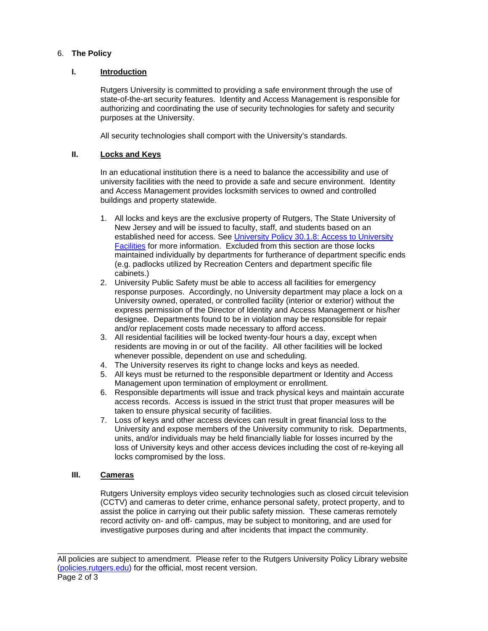# 6. **The Policy**

## **I. Introduction**

Rutgers University is committed to providing a safe environment through the use of state-of-the-art security features. Identity and Access Management is responsible for authorizing and coordinating the use of security technologies for safety and security purposes at the University.

All security technologies shall comport with the University's standards.

## **II. Locks and Keys**

In an educational institution there is a need to balance the accessibility and use of university facilities with the need to provide a safe and secure environment. Identity and Access Management provides locksmith services to owned and controlled buildings and property statewide.

- 1. All locks and keys are the exclusive property of Rutgers, The State University of New Jersey and will be issued to faculty, staff, and students based on an established need for access. See [University Policy 30.1.8:](https://policies.rutgers.edu/3018-currentpdf) Access to University [Facilities](https://policies.rutgers.edu/3018-currentpdf) for more information. Excluded from this section are those locks maintained individually by departments for furtherance of department specific ends (e.g. padlocks utilized by Recreation Centers and department specific file cabinets.)
- 2. University Public Safety must be able to access all facilities for emergency response purposes. Accordingly, no University department may place a lock on a University owned, operated, or controlled facility (interior or exterior) without the express permission of the Director of Identity and Access Management or his/her designee. Departments found to be in violation may be responsible for repair and/or replacement costs made necessary to afford access.
- 3. All residential facilities will be locked twenty-four hours a day, except when residents are moving in or out of the facility. All other facilities will be locked whenever possible, dependent on use and scheduling.
- 4. The University reserves its right to change locks and keys as needed.
- 5. All keys must be returned to the responsible department or Identity and Access Management upon termination of employment or enrollment.
- 6. Responsible departments will issue and track physical keys and maintain accurate access records. Access is issued in the strict trust that proper measures will be taken to ensure physical security of facilities.
- 7. Loss of keys and other access devices can result in great financial loss to the University and expose members of the University community to risk. Departments, units, and/or individuals may be held financially liable for losses incurred by the loss of University keys and other access devices including the cost of re-keying all locks compromised by the loss.

# **III. Cameras**

Rutgers University employs video security technologies such as closed circuit television (CCTV) and cameras to deter crime, enhance personal safety, protect property, and to assist the police in carrying out their public safety mission. These cameras remotely record activity on- and off- campus, may be subject to monitoring, and are used for investigative purposes during and after incidents that impact the community.

\_\_\_\_\_\_\_\_\_\_\_\_\_\_\_\_\_\_\_\_\_\_\_\_\_\_\_\_\_\_\_\_\_\_\_\_\_\_\_\_\_\_\_\_\_\_\_\_\_\_\_\_\_\_\_\_\_\_\_\_\_\_\_\_\_\_\_\_\_\_\_\_\_\_\_\_\_\_\_ All policies are subject to amendment. Please refer to the Rutgers University Policy Library website [\(policies.rutgers.edu\)](https://policies.rutgers.edu/) for the official, most recent version. Page 2 of 3